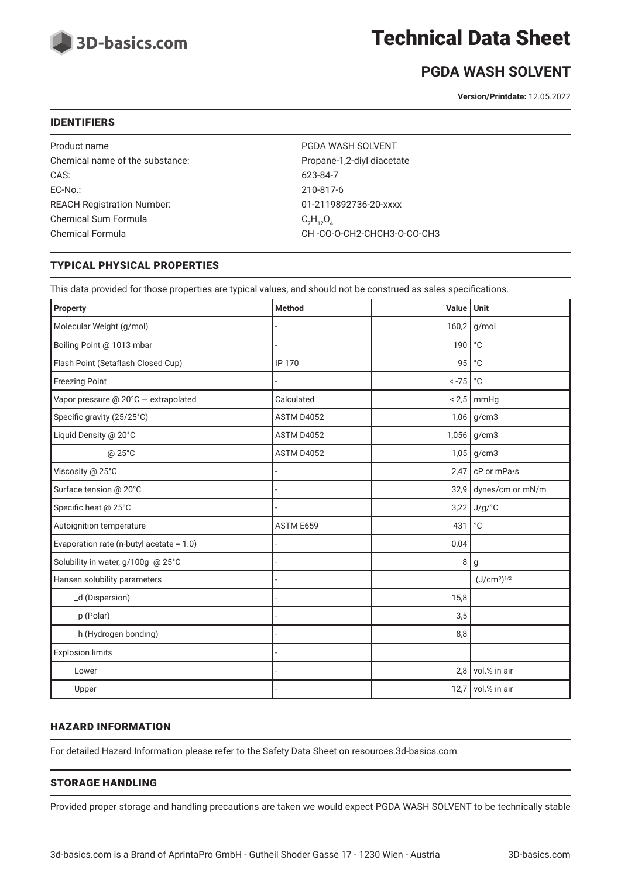

## Technical Data Sheet

## **PGDA WASH SOLVENT**

**Version/Printdate:** 12.05.2022

#### IDENTIFIERS

Product name **PGDA WASH SOLVENT** Chemical name of the substance: Propane-1,2-diyl diacetate CAS: 623-84-7 EC-No.: 210-817-6 REACH Registration Number: 01-2119892736-20-xxxx Chemical Sum Formula Chemical Formula Chemical Formula CH -CO-O-CH2-CHCH3-O-CO-CH3

 $C_7H_{12}O_4$ 

#### TYPICAL PHYSICAL PROPERTIES

This data provided for those properties are typical values, and should not be construed as sales specifications.

| Property                                 | <b>Method</b>     | Value | Unit                                |
|------------------------------------------|-------------------|-------|-------------------------------------|
| Molecular Weight (g/mol)                 |                   | 160,2 | g/mol                               |
| Boiling Point @ 1013 mbar                |                   | 190   | $^{\circ}$ C                        |
| Flash Point (Setaflash Closed Cup)       | <b>IP 170</b>     | 95    | $^{\circ}$ C                        |
| <b>Freezing Point</b>                    |                   | $-75$ | $^{\circ}{\rm C}$                   |
| Vapor pressure @ 20°C - extrapolated     | Calculated        | < 2,5 | mmHg                                |
| Specific gravity (25/25°C)               | <b>ASTM D4052</b> |       | $1,06$ g/cm3                        |
| Liquid Density @ 20°C                    | ASTM D4052        | 1,056 | g/cm3                               |
| @ 25°C                                   | ASTM D4052        |       | $1,05$ g/cm3                        |
| Viscosity @ 25°C                         |                   | 2,47  | cP or mPa•s                         |
| Surface tension @ 20°C                   |                   | 32,9  | dynes/cm or mN/m                    |
| Specific heat @ 25°C                     |                   | 3,22  | J/g/°C                              |
| Autoignition temperature                 | ASTM E659         | 431   | $^{\circ}{\rm C}$                   |
| Evaporation rate (n-butyl acetate = 1.0) |                   | 0,04  |                                     |
| Solubility in water, g/100g @ 25°C       |                   | 8     | g                                   |
| Hansen solubility parameters             |                   |       | (J/cm <sup>3</sup> ) <sup>1/2</sup> |
| _d (Dispersion)                          |                   | 15,8  |                                     |
| _p (Polar)                               |                   | 3,5   |                                     |
| _h (Hydrogen bonding)                    |                   | 8,8   |                                     |
| <b>Explosion limits</b>                  |                   |       |                                     |
| Lower                                    |                   | 2,8   | vol.% in air                        |
| Upper                                    |                   | 12,7  | vol.% in air                        |

#### HAZARD INFORMATION

For detailed Hazard Information please refer to the Safety Data Sheet on resources.3d-basics.com

#### STORAGE HANDLING

Provided proper storage and handling precautions are taken we would expect PGDA WASH SOLVENT to be technically stable